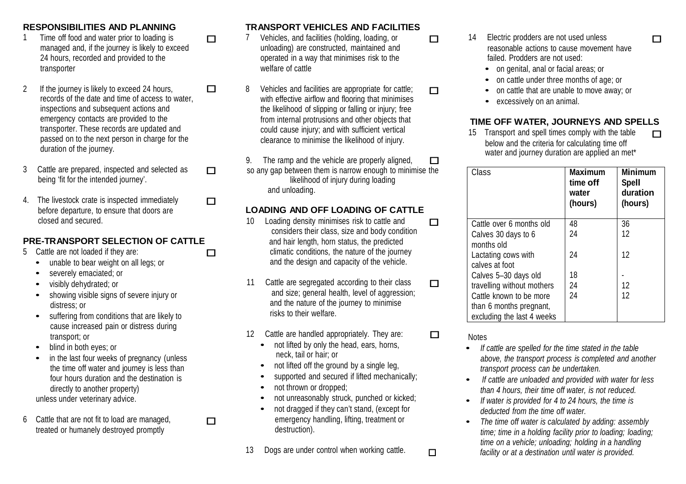- 1 Time off food and water prior to loading is managed and, if the journey is likely to exceed
- records of the date and time of access to water, inspections and subsequent actions and emergency contacts are provided to the transporter. These records are updated and passed on to the next person in charge for the duration of the journey.
- 3 Cattle are prepared, inspected and selected as being 'fit for the intended journey'.
- 4. The livestock crate is inspected immediately before departure, to ensure that doors are closed and secured.

#### **PRE-TRANSPORT SELECTION OF CATTLE** and hair length, horn status, the predicted

- 5 Cattle are not loaded if they are:<br>
unable to bear weight on all legs; or
	-
	- severely emaciated; or
	- visibly dehydrated; or
	- showing visible signs of severe injury or distress; or
	- suffering from conditions that are likely to cause increased pain or distress during transport; or
	- blind in both eyes; or
	- in the last four weeks of pregnancy (unless the time off water and journey is less than four hours duration and the destination is directly to another property) unless under veterinary advice.
- 6 Cattle that are not fit to load are managed, treated or humanely destroyed promptly

## **RESPONSIBILITIES AND PLANNING TRANSPORT VEHICLES AND FACILITIES**

- T 7 Vehicles, and facilities (holding, loading, or unloading) are constructed, maintained and 24 hours, recorded and provided to the operated in a way that minimises risk to the failed. Prodders are not used: transporter **transporter transporter and the set of cattle** *welfare of cattle or the cattle or genital, anal or facial areas; or <b>a*
- 2 If the journey is likely to exceed 24 hours,  $\Box$  8 Vehicles and facilities are appropriate for cattle;  $\Box$ with effective airflow and flooring that minimises the likelihood of slipping or falling or injury; free from internal protrusions and other objects that could cause injury; and with sufficient vertical clearance to minimise the likelihood of injury.
	- 9. The ramp and the vehicle are properly aligned,  $\Box$ so any gap between them is narrow enough to minimise the likelihood of injury during loading and unloading.

### **LOADING AND OFF LOADING OF CATTLE**

- 10 Loading density minimises risk to cattle and considers their class, size and body condition climatic conditions, the nature of the journey and the design and capacity of the vehicle.
- 11 Cattle are segregated according to their class  $\square$ and size; general health, level of aggression; and the nature of the journey to minimise risks to their welfare.
- 12 Cattle are handled appropriately. They are:  $\Box$ <br>• not lifted by only the head, ears, horns,
	- neck, tail or hair; or
	- not lifted off the ground by a single leg,
	- supported and secured if lifted mechanically:
	- not thrown or dropped:
	- not unreasonably struck, punched or kicked;
	- not dragged if they can't stand, (except for emergency handling, lifting, treatment or destruction).
- 
- 14 Electric prodders are not used unless reasonable actions to cause movement have
	-
	- on cattle under three months of age; or<br>• on cattle that are unable to move away: or
	-
	- excessively on an animal.

#### **TIME OFF WATER, JOURNEYS AND SPELLS**

15 Transport and spell times comply with the table  $\Box$ below and the criteria for calculating time off water and journey duration are applied an met\*

| Class                                              | <b>Maximum</b><br>time off<br>water<br>(hours) | <b>Minimum</b><br><b>Spell</b><br>duration<br>(hours) |
|----------------------------------------------------|------------------------------------------------|-------------------------------------------------------|
| Cattle over 6 months old                           | 48                                             | 36                                                    |
| Calves 30 days to 6<br>months old                  | 24                                             | 12                                                    |
| Lactating cows with<br>calves at foot              | 24                                             | 12                                                    |
| Calves 5-30 days old                               | 18                                             |                                                       |
| travelling without mothers                         | 24                                             | 12                                                    |
| Cattle known to be more<br>than 6 months pregnant, | 24                                             | 12                                                    |
| excluding the last 4 weeks                         |                                                |                                                       |

**Notes** 

- *If cattle are spelled for the time stated in the table above, the transport process is completed and another transport process can be undertaken.*
- *• If cattle are unloaded and provided with water for less than 4 hours, their time off water, is not reduced.*
- *• If water is provided for <sup>4</sup> to <sup>24</sup> hours, the time is deducted from the time off water.*
- *• The time off water is calculated by adding: assembly time; time in a holding facility prior to loading; loading; time on a vehicle; unloading; holding in a handling* 13 Dogs are under control when working cattle. *facility or at a destination until water is provided.*

 $\Box$